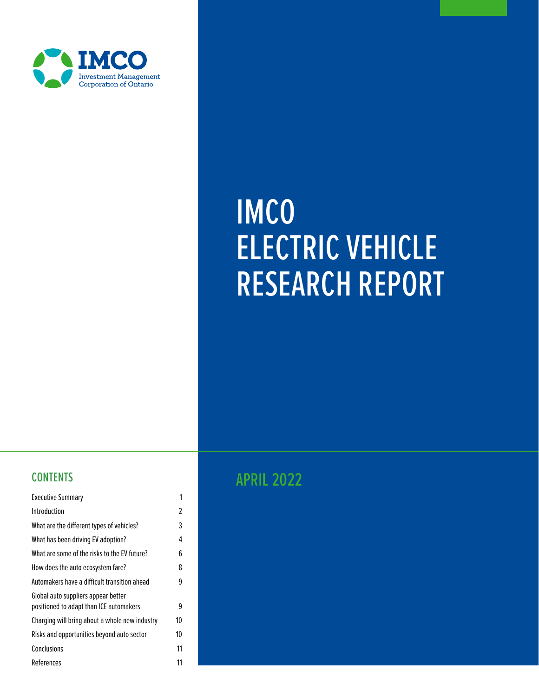

# IMCO ELECTRIC VEHICLE RESEARCH REPORT

| <b>Executive Summary</b>                                                       | 1  |
|--------------------------------------------------------------------------------|----|
| Introduction                                                                   | 2  |
| What are the different types of vehicles?                                      | 3  |
| What has been driving EV adoption?                                             | 4  |
| What are some of the risks to the EV future?                                   | 6  |
| How does the auto ecosystem fare?                                              | 8  |
| Automakers have a difficult transition ahead                                   | 9  |
| Global auto suppliers appear better<br>positioned to adapt than ICE automakers | 9  |
| Charging will bring about a whole new industry                                 | 10 |
| Risks and opportunities beyond auto sector                                     | 10 |
| Conclusions                                                                    | 11 |
| References                                                                     | 11 |

# **CONTENTS** CONTENTS APRIL 2022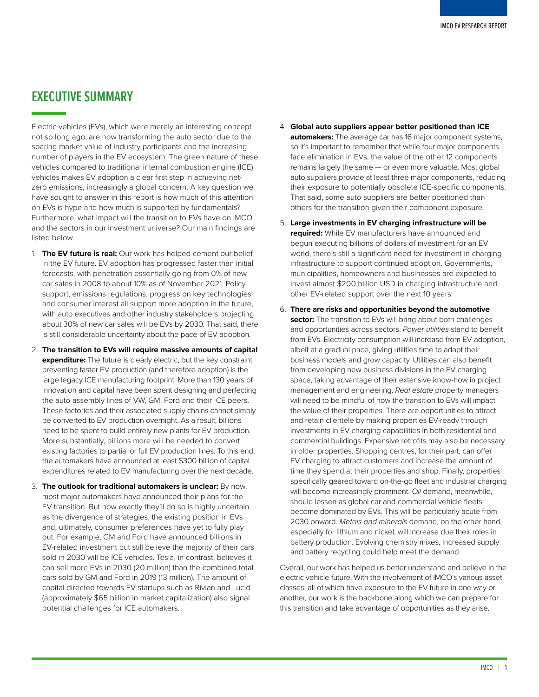## <span id="page-1-0"></span>**EXECUTIVE SUMMARY**

Electric vehicles (EVs), which were merely an interesting concept not so long ago, are now transforming the auto sector due to the soaring market value of industry participants and the increasing number of players in the EV ecosystem. The green nature of these vehicles compared to traditional internal combustion engine (ICE) vehicles makes EV adoption a clear first step in achieving netzero emissions, increasingly a global concern. A key question we have sought to answer in this report is how much of this attention on EVs is hype and how much is supported by fundamentals? Furthermore, what impact will the transition to EVs have on IMCO and the sectors in our investment universe? Our main findings are listed below.

- 1. **The EV future is real:** Our work has helped cement our belief in the EV future. EV adoption has progressed faster than initial forecasts, with penetration essentially going from 0% of new car sales in 2008 to about 10% as of November 2021. Policy support, emissions regulations, progress on key technologies and consumer interest all support more adoption in the future, with auto executives and other industry stakeholders projecting about 30% of new car sales will be EVs by 2030. That said, there is still considerable uncertainty about the pace of EV adoption.
- 2. **The transition to EVs will require massive amounts of capital expenditure:** The future is clearly electric, but the key constraint preventing faster EV production (and therefore adoption) is the large legacy ICE manufacturing footprint. More than 130 years of innovation and capital have been spent designing and perfecting the auto assembly lines of VW, GM, Ford and their ICE peers. These factories and their associated supply chains cannot simply be converted to EV production overnight. As a result, billions need to be spent to build entirely new plants for EV production. More substantially, billions more will be needed to convert existing factories to partial or full EV production lines. To this end, the automakers have announced at least \$300 billion of capital expenditures related to EV manufacturing over the next decade.
- 3. **The outlook for traditional automakers is unclear:** By now, most major automakers have announced their plans for the EV transition. But how exactly they'll do so is highly uncertain as the divergence of strategies, the existing position in EVs and, ultimately, consumer preferences have yet to fully play out. For example, GM and Ford have announced billions in EV-related investment but still believe the majority of their cars sold in 2030 will be ICE vehicles. Tesla, in contrast, believes it can sell more EVs in 2030 (20 million) than the combined total cars sold by GM and Ford in 2019 (13 million). The amount of capital directed towards EV startups such as Rivian and Lucid (approximately \$65 billion in market capitalization) also signal potential challenges for ICE automakers.
- 4. **Global auto suppliers appear better positioned than ICE automakers:** The average car has 16 major component systems, so it's important to remember that while four major components face elimination in EVs, the value of the other 12 components remains largely the same — or even more valuable. Most global auto suppliers provide at least three major components, reducing their exposure to potentially obsolete ICE-specific components. That said, some auto suppliers are better positioned than others for the transition given their component exposure.
- 5. **Large investments in EV charging infrastructure will be required:** While EV manufacturers have announced and begun executing billions of dollars of investment for an EV world, there's still a significant need for investment in charging infrastructure to support continued adoption. Governments, municipalities, homeowners and businesses are expected to invest almost \$200 billion USD in charging infrastructure and other EV-related support over the next 10 years.
- 6. **There are risks and opportunities beyond the automotive sector:** The transition to EVs will bring about both challenges and opportunities across sectors. *Power utilities* stand to benefit from EVs. Electricity consumption will increase from EV adoption, albeit at a gradual pace, giving utilities time to adapt their business models and grow capacity. Utilities can also benefit from developing new business divisions in the EV charging space, taking advantage of their extensive know-how in project management and engineering. *Real estate* property managers will need to be mindful of how the transition to EVs will impact the value of their properties. There are opportunities to attract and retain clientele by making properties EV-ready through investments in EV charging capabilities in both residential and commercial buildings. Expensive retrofits may also be necessary in older properties. Shopping centres, for their part, can offer EV charging to attract customers and increase the amount of time they spend at their properties and shop. Finally, properties specifically geared toward on-the-go fleet and industrial charging will become increasingly prominent. *Oil* demand, meanwhile, should lessen as global car and commercial vehicle fleets become dominated by EVs. This will be particularly acute from 2030 onward. *Metals and minerals* demand, on the other hand, especially for lithium and nickel, will increase due their roles in battery production. Evolving chemistry mixes, increased supply and battery recycling could help meet the demand.

Overall, our work has helped us better understand and believe in the electric vehicle future. With the involvement of IMCO's various asset classes, all of which have exposure to the EV future in one way or another, our work is the backbone along which we can prepare for this transition and take advantage of opportunities as they arise.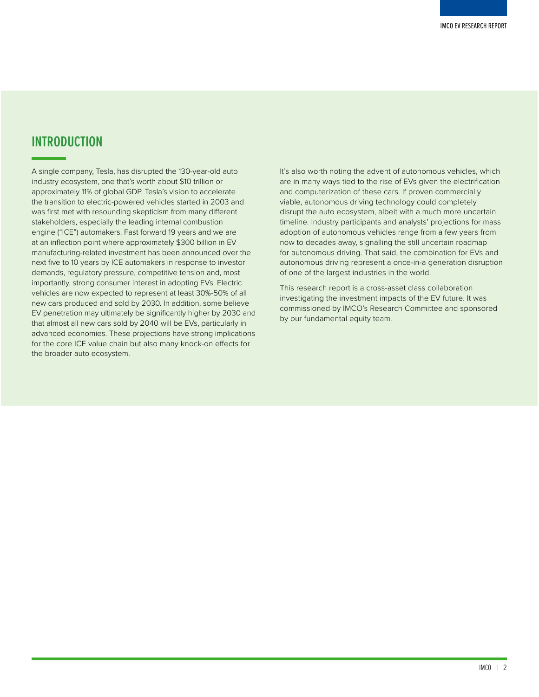## <span id="page-2-0"></span>**INTRODUCTION**

A single company, Tesla, has disrupted the 130-year-old auto industry ecosystem, one that's worth about \$10 trillion or approximately 11% of global GDP. Tesla's vision to accelerate the transition to electric-powered vehicles started in 2003 and was first met with resounding skepticism from many different stakeholders, especially the leading internal combustion engine ("ICE") automakers. Fast forward 19 years and we are at an inflection point where approximately \$300 billion in EV manufacturing-related investment has been announced over the next five to 10 years by ICE automakers in response to investor demands, regulatory pressure, competitive tension and, most importantly, strong consumer interest in adopting EVs. Electric vehicles are now expected to represent at least 30%-50% of all new cars produced and sold by 2030. In addition, some believe EV penetration may ultimately be significantly higher by 2030 and that almost all new cars sold by 2040 will be EVs, particularly in advanced economies. These projections have strong implications for the core ICE value chain but also many knock-on effects for the broader auto ecosystem.

It's also worth noting the advent of autonomous vehicles, which are in many ways tied to the rise of EVs given the electrification and computerization of these cars. If proven commercially viable, autonomous driving technology could completely disrupt the auto ecosystem, albeit with a much more uncertain timeline. Industry participants and analysts' projections for mass adoption of autonomous vehicles range from a few years from now to decades away, signalling the still uncertain roadmap for autonomous driving. That said, the combination for EVs and autonomous driving represent a once-in-a generation disruption of one of the largest industries in the world.

This research report is a cross-asset class collaboration investigating the investment impacts of the EV future. It was commissioned by IMCO's Research Committee and sponsored by our fundamental equity team.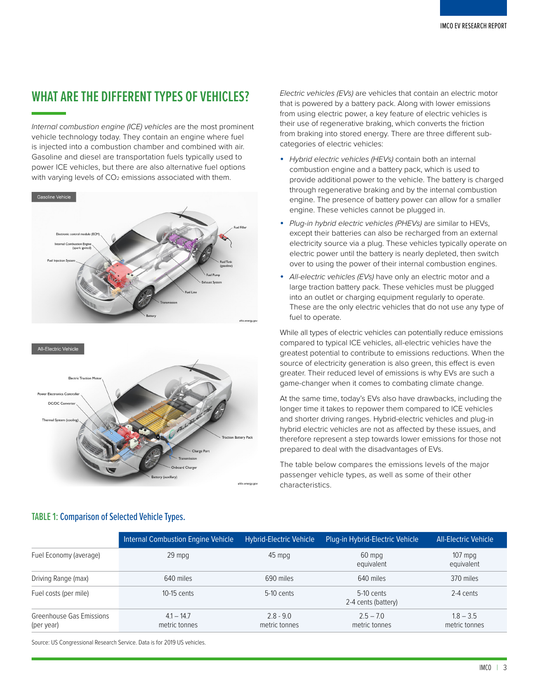## <span id="page-3-0"></span>**WHAT ARE THE DIFFERENT TYPES OF VEHICLES?**

*Internal combustion engine (ICE) vehicles* are the most prominent vehicle technology today. They contain an engine where fuel is injected into a combustion chamber and combined with air. Gasoline and diesel are transportation fuels typically used to power ICE vehicles, but there are also alternative fuel options with varying levels of CO<sub>2</sub> emissions associated with them.





*Electric vehicles (EVs)* are vehicles that contain an electric motor that is powered by a battery pack. Along with lower emissions from using electric power, a key feature of electric vehicles is their use of regenerative braking, which converts the friction from braking into stored energy. There are three different subcategories of electric vehicles:

- *Hybrid electric vehicles (HEVs)* contain both an internal combustion engine and a battery pack, which is used to provide additional power to the vehicle. The battery is charged through regenerative braking and by the internal combustion engine. The presence of battery power can allow for a smaller engine. These vehicles cannot be plugged in.
- *Plug-in hybrid electric vehicles (PHEVs)* are similar to HEVs, except their batteries can also be recharged from an external electricity source via a plug. These vehicles typically operate on electric power until the battery is nearly depleted, then switch over to using the power of their internal combustion engines.
- *All-electric vehicles (EVs)* have only an electric motor and a large traction battery pack. These vehicles must be plugged into an outlet or charging equipment regularly to operate. These are the only electric vehicles that do not use any type of fuel to operate.

While all types of electric vehicles can potentially reduce emissions compared to typical ICE vehicles, all-electric vehicles have the greatest potential to contribute to emissions reductions. When the source of electricity generation is also green, this effect is even greater. Their reduced level of emissions is why EVs are such a game-changer when it comes to combating climate change.

At the same time, today's EVs also have drawbacks, including the longer time it takes to repower them compared to ICE vehicles and shorter driving ranges. Hybrid-electric vehicles and plug-in hybrid electric vehicles are not as affected by these issues, and therefore represent a step towards lower emissions for those not prepared to deal with the disadvantages of EVs.

The table below compares the emissions levels of the major passenger vehicle types, as well as some of their other characteristics.

|                                        | <b>Internal Combustion Engine Vehicle</b> | <b>Hybrid-Electric Vehicle</b> | Plug-in Hybrid-Electric Vehicle     | All-Electric Vehicle         |
|----------------------------------------|-------------------------------------------|--------------------------------|-------------------------------------|------------------------------|
| Fuel Economy (average)                 | $29$ mpq                                  | 45 mpg                         | 60 mpg<br>equivalent                | $107$ mpg<br>equivalent      |
| Driving Range (max)                    | 640 miles                                 | 690 miles                      | 640 miles                           | 370 miles                    |
| Fuel costs (per mile)                  | $10-15$ cents                             | $5-10$ cents                   | $5-10$ cents<br>2-4 cents (battery) | 2-4 cents                    |
| Greenhouse Gas Emissions<br>(per year) | $4.1 - 14.7$<br>metric tonnes             | $2.8 - 9.0$<br>metric tonnes   | $2.5 - 7.0$<br>metric tonnes        | $1.8 - 3.5$<br>metric tonnes |

#### TABLE 1: Comparison of Selected Vehicle Types.

Source: US Congressional Research Service. Data is for 2019 US vehicles.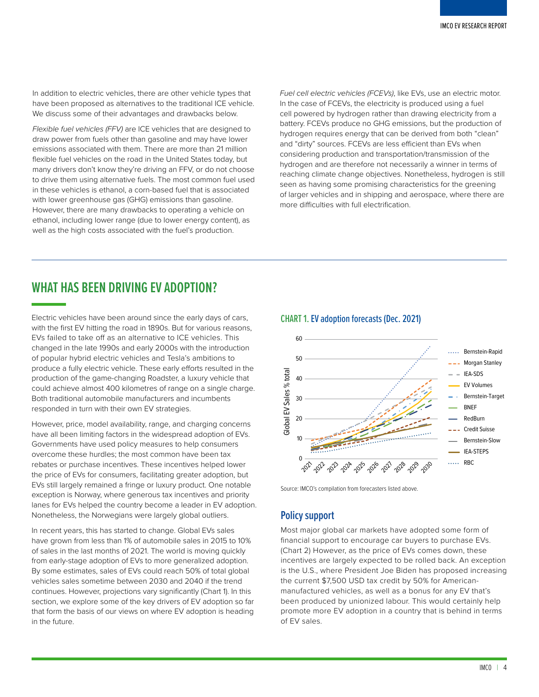<span id="page-4-0"></span>In addition to electric vehicles, there are other vehicle types that have been proposed as alternatives to the traditional ICE vehicle. We discuss some of their advantages and drawbacks below.

*Flexible fuel vehicles (FFV)* are ICE vehicles that are designed to draw power from fuels other than gasoline and may have lower emissions associated with them. There are more than 21 million flexible fuel vehicles on the road in the United States today, but many drivers don't know they're driving an FFV, or do not choose to drive them using alternative fuels. The most common fuel used in these vehicles is ethanol, a corn-based fuel that is associated with lower greenhouse gas (GHG) emissions than gasoline. However, there are many drawbacks to operating a vehicle on ethanol, including lower range (due to lower energy content), as well as the high costs associated with the fuel's production.

*Fuel cell electric vehicles (FCEVs)*, like EVs, use an electric motor. In the case of FCEVs, the electricity is produced using a fuel cell powered by hydrogen rather than drawing electricity from a battery. FCEVs produce no GHG emissions, but the production of hydrogen requires energy that can be derived from both "clean" and "dirty" sources. FCEVs are less efficient than EVs when considering production and transportation/transmission of the hydrogen and are therefore not necessarily a winner in terms of reaching climate change objectives. Nonetheless, hydrogen is still seen as having some promising characteristics for the greening of larger vehicles and in shipping and aerospace, where there are more difficulties with full electrification.

## **WHAT HAS BEEN DRIVING EV ADOPTION?**

Electric vehicles have been around since the early days of cars, with the first EV hitting the road in 1890s. But for various reasons, EVs failed to take off as an alternative to ICE vehicles. This changed in the late 1990s and early 2000s with the introduction of popular hybrid electric vehicles and Tesla's ambitions to produce a fully electric vehicle. These early efforts resulted in the production of the game-changing Roadster, a luxury vehicle that could achieve almost 400 kilometres of range on a single charge. Both traditional automobile manufacturers and incumbents responded in turn with their own EV strategies.

However, price, model availability, range, and charging concerns have all been limiting factors in the widespread adoption of EVs. Governments have used policy measures to help consumers overcome these hurdles; the most common have been tax rebates or purchase incentives. These incentives helped lower the price of EVs for consumers, facilitating greater adoption, but EVs still largely remained a fringe or luxury product. One notable exception is Norway, where generous tax incentives and priority lanes for EVs helped the country become a leader in EV adoption. Nonetheless, the Norwegians were largely global outliers.

In recent years, this has started to change. Global EVs sales have grown from less than 1% of automobile sales in 2015 to 10% of sales in the last months of 2021. The world is moving quickly from early-stage adoption of EVs to more generalized adoption. By some estimates, sales of EVs could reach 50% of total global vehicles sales sometime between 2030 and 2040 if the trend continues. However, projections vary significantly (Chart 1). In this section, we explore some of the key drivers of EV adoption so far that form the basis of our views on where EV adoption is heading in the future.

#### CHART 1. EV adoption forecasts (Dec. 2021)



Source: IMCO's compilation from forecasters listed above.

### **Policy support**

Most major global car markets have adopted some form of financial support to encourage car buyers to purchase EVs. (Chart 2) However, as the price of EVs comes down, these incentives are largely expected to be rolled back. An exception is the U.S., where President Joe Biden has proposed increasing the current \$7,500 USD tax credit by 50% for Americanmanufactured vehicles, as well as a bonus for any EV that's been produced by unionized labour. This would certainly help promote more EV adoption in a country that is behind in terms of EV sales.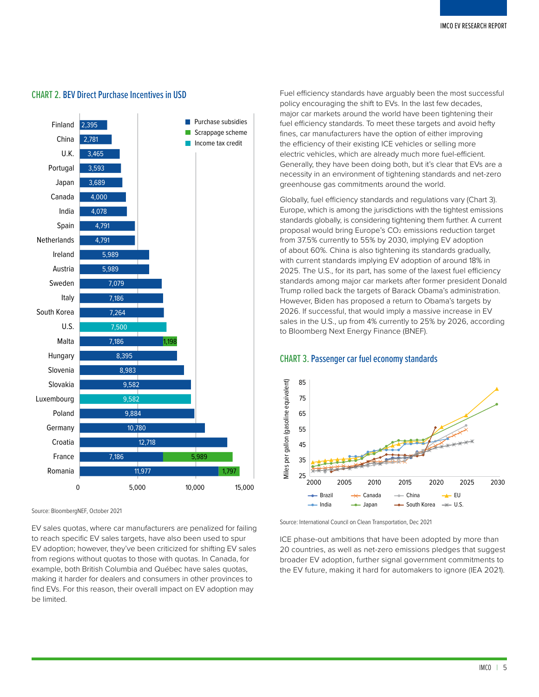

#### CHART 2. BEV Direct Purchase Incentives in USD

Source: BloombergNEF, October 2021

EV sales quotas, where car manufacturers are penalized for failing to reach specific EV sales targets, have also been used to spur EV adoption; however, they've been criticized for shifting EV sales from regions without quotas to those with quotas. In Canada, for example, both British Columbia and Québec have sales quotas, making it harder for dealers and consumers in other provinces to find EVs. For this reason, their overall impact on EV adoption may be limited.

Fuel efficiency standards have arguably been the most successful policy encouraging the shift to EVs. In the last few decades, major car markets around the world have been tightening their fuel efficiency standards. To meet these targets and avoid hefty fines, car manufacturers have the option of either improving the efficiency of their existing ICE vehicles or selling more electric vehicles, which are already much more fuel-efficient. Generally, they have been doing both, but it's clear that EVs are a necessity in an environment of tightening standards and net-zero greenhouse gas commitments around the world.

Globally, fuel efficiency standards and regulations vary (Chart 3). Europe, which is among the jurisdictions with the tightest emissions standards globally, is considering tightening them further. A current proposal would bring Europe's CO2 emissions reduction target from 37.5% currently to 55% by 2030, implying EV adoption of about 60%. China is also tightening its standards gradually, with current standards implying EV adoption of around 18% in 2025. The U.S., for its part, has some of the laxest fuel efficiency standards among major car markets after former president Donald Trump rolled back the targets of Barack Obama's administration. However, Biden has proposed a return to Obama's targets by 2026. If successful, that would imply a massive increase in EV sales in the U.S., up from 4% currently to 25% by 2026, according to Bloomberg Next Energy Finance (BNEF).

#### CHART 3. Passenger car fuel economy standards



Source: International Council on Clean Transportation, Dec 2021

ICE phase-out ambitions that have been adopted by more than 20 countries, as well as net-zero emissions pledges that suggest broader EV adoption, further signal government commitments to the EV future, making it hard for automakers to ignore (IEA 2021).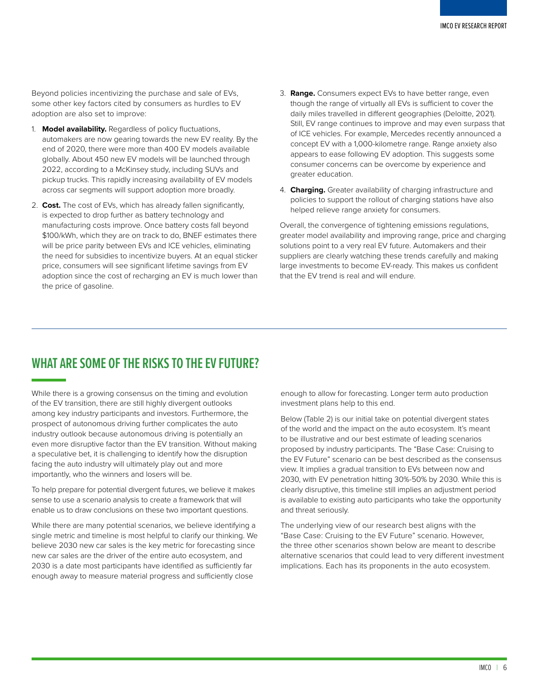<span id="page-6-0"></span>Beyond policies incentivizing the purchase and sale of EVs, some other key factors cited by consumers as hurdles to EV adoption are also set to improve:

- 1. **Model availability.** Regardless of policy fluctuations, automakers are now gearing towards the new EV reality. By the end of 2020, there were more than 400 EV models available globally. About 450 new EV models will be launched through 2022, according to a McKinsey study, including SUVs and pickup trucks. This rapidly increasing availability of EV models across car segments will support adoption more broadly.
- 2. **Cost.** The cost of EVs, which has already fallen significantly, is expected to drop further as battery technology and manufacturing costs improve. Once battery costs fall beyond \$100/kWh, which they are on track to do, BNEF estimates there will be price parity between EVs and ICE vehicles, eliminating the need for subsidies to incentivize buyers. At an equal sticker price, consumers will see significant lifetime savings from EV adoption since the cost of recharging an EV is much lower than the price of gasoline.
- 3. **Range.** Consumers expect EVs to have better range, even though the range of virtually all EVs is sufficient to cover the daily miles travelled in different geographies (Deloitte, 2021). Still, EV range continues to improve and may even surpass that of ICE vehicles. For example, Mercedes recently announced a concept EV with a 1,000-kilometre range. Range anxiety also appears to ease following EV adoption. This suggests some consumer concerns can be overcome by experience and greater education.
- 4. **Charging.** Greater availability of charging infrastructure and policies to support the rollout of charging stations have also helped relieve range anxiety for consumers.

Overall, the convergence of tightening emissions regulations, greater model availability and improving range, price and charging solutions point to a very real EV future. Automakers and their suppliers are clearly watching these trends carefully and making large investments to become EV-ready. This makes us confident that the EV trend is real and will endure.

## **WHAT ARE SOME OF THE RISKS TO THE EV FUTURE?**

While there is a growing consensus on the timing and evolution of the EV transition, there are still highly divergent outlooks among key industry participants and investors. Furthermore, the prospect of autonomous driving further complicates the auto industry outlook because autonomous driving is potentially an even more disruptive factor than the EV transition. Without making a speculative bet, it is challenging to identify how the disruption facing the auto industry will ultimately play out and more importantly, who the winners and losers will be.

To help prepare for potential divergent futures, we believe it makes sense to use a scenario analysis to create a framework that will enable us to draw conclusions on these two important questions.

While there are many potential scenarios, we believe identifying a single metric and timeline is most helpful to clarify our thinking. We believe 2030 new car sales is the key metric for forecasting since new car sales are the driver of the entire auto ecosystem, and 2030 is a date most participants have identified as sufficiently far enough away to measure material progress and sufficiently close

enough to allow for forecasting. Longer term auto production investment plans help to this end.

Below (Table 2) is our initial take on potential divergent states of the world and the impact on the auto ecosystem. It's meant to be illustrative and our best estimate of leading scenarios proposed by industry participants. The "Base Case: Cruising to the EV Future" scenario can be best described as the consensus view. It implies a gradual transition to EVs between now and 2030, with EV penetration hitting 30%-50% by 2030. While this is clearly disruptive, this timeline still implies an adjustment period is available to existing auto participants who take the opportunity and threat seriously.

The underlying view of our research best aligns with the "Base Case: Cruising to the EV Future" scenario. However, the three other scenarios shown below are meant to describe alternative scenarios that could lead to very different investment implications. Each has its proponents in the auto ecosystem.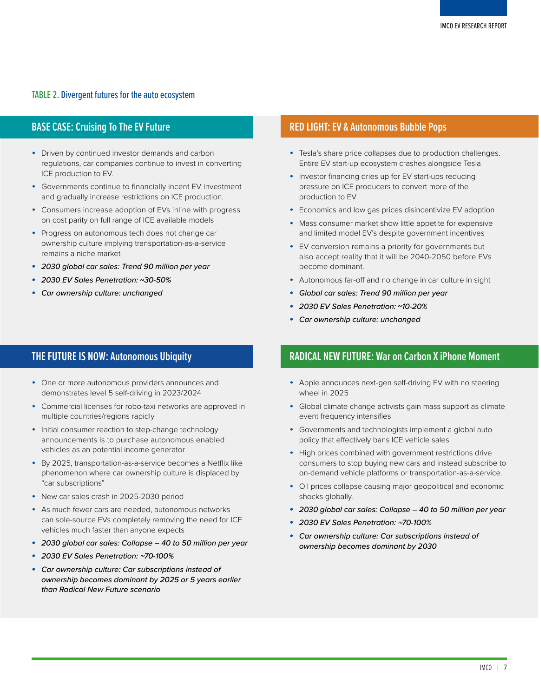#### TABLE 2. Divergent futures for the auto ecosystem

#### **BASE CASE: Cruising To The EV Future**

- Driven by continued investor demands and carbon regulations, car companies continue to invest in converting ICE production to EV.
- Governments continue to financially incent EV investment and gradually increase restrictions on ICE production.
- Consumers increase adoption of EVs inline with progress on cost parity on full range of ICE available models
- Progress on autonomous tech does not change car ownership culture implying transportation-as-a-service remains a niche market
- *• 2030 global car sales: Trend 90 million per year*
- *• 2030 EV Sales Penetration:* **~***30-50%*
- *• Car ownership culture: unchanged*

#### **THE FUTURE IS NOW: Autonomous Ubiquity**

- One or more autonomous providers announces and demonstrates level 5 self-driving in 2023/2024
- Commercial licenses for robo-taxi networks are approved in multiple countries/regions rapidly
- Initial consumer reaction to step-change technology announcements is to purchase autonomous enabled vehicles as an potential income generator
- By 2025, transportation-as-a-service becomes a Netflix like phenomenon where car ownership culture is displaced by "car subscriptions"
- New car sales crash in 2025-2030 period
- As much fewer cars are needed, autonomous networks can sole-source EVs completely removing the need for ICE vehicles much faster than anyone expects
- *• 2030 global car sales: Collapse 40 to 50 million per year*
- *• 2030 EV Sales Penetration: ~70-100%*
- *• Car ownership culture: Car subscriptions instead of ownership becomes dominant by 2025 or 5 years earlier than Radical New Future scenario*

#### **RED LIGHT: EV & Autonomous Bubble Pops**

- Tesla's share price collapses due to production challenges. Entire EV start-up ecosystem crashes alongside Tesla
- Investor financing dries up for EV start-ups reducing pressure on ICE producers to convert more of the production to EV
- Economics and low gas prices disincentivize EV adoption
- Mass consumer market show little appetite for expensive and limited model EV's despite government incentives
- EV conversion remains a priority for governments but also accept reality that it will be 2040-2050 before EVs become dominant.
- Autonomous far-off and no change in car culture in sight
- *• Global car sales: Trend 90 million per year*
- *• 2030 EV Sales Penetration:* **~***10-20%*
- *• Car ownership culture: unchanged*

## **RADICAL NEW FUTURE: War on Carbon X iPhone Moment**

- Apple announces next-gen self-driving EV with no steering wheel in 2025
- Global climate change activists gain mass support as climate event frequency intensifies
- Governments and technologists implement a global auto policy that effectively bans ICE vehicle sales
- High prices combined with government restrictions drive consumers to stop buying new cars and instead subscribe to on-demand vehicle platforms or transportation-as-a-service.
- Oil prices collapse causing major geopolitical and economic shocks globally.
- *• 2030 global car sales: Collapse 40 to 50 million per year*
- *• 2030 EV Sales Penetration: ~70-100%*
- *• Car ownership culture: Car subscriptions instead of ownership becomes dominant by 2030*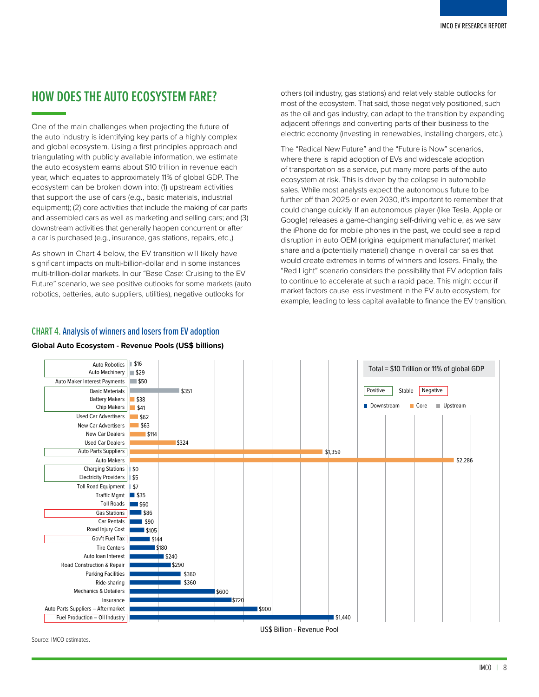## <span id="page-8-0"></span>**HOW DOES THE AUTO ECOSYSTEM FARE?**

One of the main challenges when projecting the future of the auto industry is identifying key parts of a highly complex and global ecosystem. Using a first principles approach and triangulating with publicly available information, we estimate the auto ecosystem earns about \$10 trillion in revenue each year, which equates to approximately 11% of global GDP. The ecosystem can be broken down into: (1) upstream activities that support the use of cars (e.g., basic materials, industrial equipment); (2) core activities that include the making of car parts and assembled cars as well as marketing and selling cars; and (3) downstream activities that generally happen concurrent or after a car is purchased (e.g., insurance, gas stations, repairs, etc.,).

As shown in Chart 4 below, the EV transition will likely have significant impacts on multi-billion-dollar and in some instances multi-trillion-dollar markets. In our "Base Case: Cruising to the EV Future" scenario, we see positive outlooks for some markets (auto robotics, batteries, auto suppliers, utilities), negative outlooks for

others (oil industry, gas stations) and relatively stable outlooks for most of the ecosystem. That said, those negatively positioned, such as the oil and gas industry, can adapt to the transition by expanding adjacent offerings and converting parts of their business to the electric economy (investing in renewables, installing chargers, etc.).

The "Radical New Future" and the "Future is Now" scenarios, where there is rapid adoption of EVs and widescale adoption of transportation as a service, put many more parts of the auto ecosystem at risk. This is driven by the collapse in automobile sales. While most analysts expect the autonomous future to be further off than 2025 or even 2030, it's important to remember that could change quickly. If an autonomous player (like Tesla, Apple or Google) releases a game-changing self-driving vehicle, as we saw the iPhone do for mobile phones in the past, we could see a rapid disruption in auto OEM (original equipment manufacturer) market share and a (potentially material) change in overall car sales that would create extremes in terms of winners and losers. Finally, the "Red Light" scenario considers the possibility that EV adoption fails to continue to accelerate at such a rapid pace. This might occur if market factors cause less investment in the EV auto ecosystem, for example, leading to less capital available to finance the EV transition.

#### \$1,440  $$900$ \$720 \$600 \$360 \$360 15290 \$240 \$180 \$144 \$105  $\overline{\phantom{a}}$  tan  $\overline{\phantom{a}}$   $\overline{\phantom{a}}$  $\overline{\phantom{0}}$ \$60 \$35  $1<sup>57</sup>$ \$5 \$0 \$2,286 \$1,359 \$324 \$114  $563$  $862$  $\sqrt{41}$ \$38 \$351 \$50  $-$ \$29 \$16 Fuel Production – Oil Industry Auto Parts Suppliers – Aftermarket Insurance Mechanics & Detailers Ride-sharing Parking Facilities Road Construction & Repair Auto loan Interest Tire Centers Gov't Fuel Tax Road Injury Cost Car Rentals Gas Stations Toll Roads Traffic Mgmt Toll Road Equipment Electricity Providers Charging Stations Auto Makers Auto Parts Suppliers Used Car Dealers New Car Dealers New Car Advertisers Used Car Advertisers Chip Makers Battery Makers Basic Materials Auto Maker Interest Payments Auto Machinery Auto Robotics US\$ Billion - Revenue Pool Downstream Core Upstream Total = \$10 Trillion or 11% of global GDP Positive Stable Negative

#### CHART 4. Analysis of winners and losers from EV adoption

#### **Global Auto Ecosystem - Revenue Pools (US\$ billions)**

Source: IMCO estimates.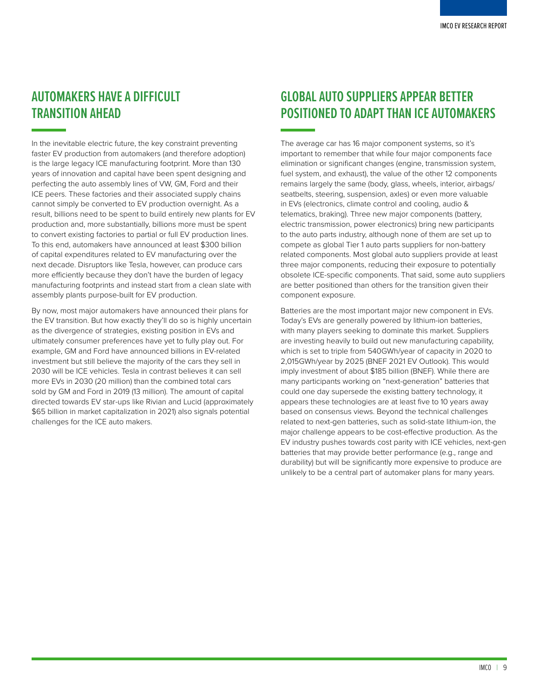## <span id="page-9-0"></span>**AUTOMAKERS HAVE A DIFFICULT TRANSITION AHEAD**

In the inevitable electric future, the key constraint preventing faster EV production from automakers (and therefore adoption) is the large legacy ICE manufacturing footprint. More than 130 years of innovation and capital have been spent designing and perfecting the auto assembly lines of VW, GM, Ford and their ICE peers. These factories and their associated supply chains cannot simply be converted to EV production overnight. As a result, billions need to be spent to build entirely new plants for EV production and, more substantially, billions more must be spent to convert existing factories to partial or full EV production lines. To this end, automakers have announced at least \$300 billion of capital expenditures related to EV manufacturing over the next decade. Disruptors like Tesla, however, can produce cars more efficiently because they don't have the burden of legacy manufacturing footprints and instead start from a clean slate with assembly plants purpose-built for EV production.

By now, most major automakers have announced their plans for the EV transition. But how exactly they'll do so is highly uncertain as the divergence of strategies, existing position in EVs and ultimately consumer preferences have yet to fully play out. For example, GM and Ford have announced billions in EV-related investment but still believe the majority of the cars they sell in 2030 will be ICE vehicles. Tesla in contrast believes it can sell more EVs in 2030 (20 million) than the combined total cars sold by GM and Ford in 2019 (13 million). The amount of capital directed towards EV star-ups like Rivian and Lucid (approximately \$65 billion in market capitalization in 2021) also signals potential challenges for the ICE auto makers.

## **GLOBAL AUTO SUPPLIERS APPEAR BETTER POSITIONED TO ADAPT THAN ICE AUTOMAKERS**

The average car has 16 major component systems, so it's important to remember that while four major components face elimination or significant changes (engine, transmission system, fuel system, and exhaust), the value of the other 12 components remains largely the same (body, glass, wheels, interior, airbags/ seatbelts, steering, suspension, axles) or even more valuable in EVs (electronics, climate control and cooling, audio & telematics, braking). Three new major components (battery, electric transmission, power electronics) bring new participants to the auto parts industry, although none of them are set up to compete as global Tier 1 auto parts suppliers for non-battery related components. Most global auto suppliers provide at least three major components, reducing their exposure to potentially obsolete ICE-specific components. That said, some auto suppliers are better positioned than others for the transition given their component exposure.

Batteries are the most important major new component in EVs. Today's EVs are generally powered by lithium-ion batteries, with many players seeking to dominate this market. Suppliers are investing heavily to build out new manufacturing capability, which is set to triple from 540GWh/year of capacity in 2020 to 2,015GWh/year by 2025 (BNEF 2021 EV Outlook). This would imply investment of about \$185 billion (BNEF). While there are many participants working on "next-generation" batteries that could one day supersede the existing battery technology, it appears these technologies are at least five to 10 years away based on consensus views. Beyond the technical challenges related to next-gen batteries, such as solid-state lithium-ion, the major challenge appears to be cost-effective production. As the EV industry pushes towards cost parity with ICE vehicles, next-gen batteries that may provide better performance (e.g., range and durability) but will be significantly more expensive to produce are unlikely to be a central part of automaker plans for many years.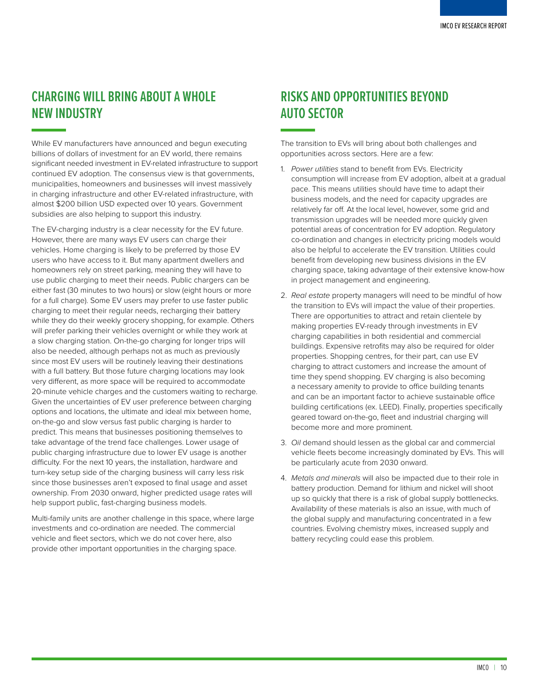## <span id="page-10-0"></span>**CHARGING WILL BRING ABOUT A WHOLE NEW INDUSTRY**

While EV manufacturers have announced and begun executing billions of dollars of investment for an EV world, there remains significant needed investment in EV-related infrastructure to support continued EV adoption. The consensus view is that governments, municipalities, homeowners and businesses will invest massively in charging infrastructure and other EV-related infrastructure, with almost \$200 billion USD expected over 10 years. Government subsidies are also helping to support this industry.

The EV-charging industry is a clear necessity for the EV future. However, there are many ways EV users can charge their vehicles. Home charging is likely to be preferred by those EV users who have access to it. But many apartment dwellers and homeowners rely on street parking, meaning they will have to use public charging to meet their needs. Public chargers can be either fast (30 minutes to two hours) or slow (eight hours or more for a full charge). Some EV users may prefer to use faster public charging to meet their regular needs, recharging their battery while they do their weekly grocery shopping, for example. Others will prefer parking their vehicles overnight or while they work at a slow charging station. On-the-go charging for longer trips will also be needed, although perhaps not as much as previously since most EV users will be routinely leaving their destinations with a full battery. But those future charging locations may look very different, as more space will be required to accommodate 20-minute vehicle charges and the customers waiting to recharge. Given the uncertainties of EV user preference between charging options and locations, the ultimate and ideal mix between home, on-the-go and slow versus fast public charging is harder to predict. This means that businesses positioning themselves to take advantage of the trend face challenges. Lower usage of public charging infrastructure due to lower EV usage is another difficulty. For the next 10 years, the installation, hardware and turn-key setup side of the charging business will carry less risk since those businesses aren't exposed to final usage and asset ownership. From 2030 onward, higher predicted usage rates will help support public, fast-charging business models.

Multi-family units are another challenge in this space, where large investments and co-ordination are needed. The commercial vehicle and fleet sectors, which we do not cover here, also provide other important opportunities in the charging space.

## **RISKS AND OPPORTUNITIES BEYOND AUTO SECTOR**

The transition to EVs will bring about both challenges and opportunities across sectors. Here are a few:

- 1. *Power utilities* stand to benefit from EVs. Electricity consumption will increase from EV adoption, albeit at a gradual pace. This means utilities should have time to adapt their business models, and the need for capacity upgrades are relatively far off. At the local level, however, some grid and transmission upgrades will be needed more quickly given potential areas of concentration for EV adoption. Regulatory co-ordination and changes in electricity pricing models would also be helpful to accelerate the EV transition. Utilities could benefit from developing new business divisions in the EV charging space, taking advantage of their extensive know-how in project management and engineering.
- 2. *Real estate* property managers will need to be mindful of how the transition to EVs will impact the value of their properties. There are opportunities to attract and retain clientele by making properties EV-ready through investments in EV charging capabilities in both residential and commercial buildings. Expensive retrofits may also be required for older properties. Shopping centres, for their part, can use EV charging to attract customers and increase the amount of time they spend shopping. EV charging is also becoming a necessary amenity to provide to office building tenants and can be an important factor to achieve sustainable office building certifications (ex. LEED). Finally, properties specifically geared toward on-the-go, fleet and industrial charging will become more and more prominent.
- 3. *Oil* demand should lessen as the global car and commercial vehicle fleets become increasingly dominated by EVs. This will be particularly acute from 2030 onward.
- 4. *Metals and minerals* will also be impacted due to their role in battery production. Demand for lithium and nickel will shoot up so quickly that there is a risk of global supply bottlenecks. Availability of these materials is also an issue, with much of the global supply and manufacturing concentrated in a few countries. Evolving chemistry mixes, increased supply and battery recycling could ease this problem.